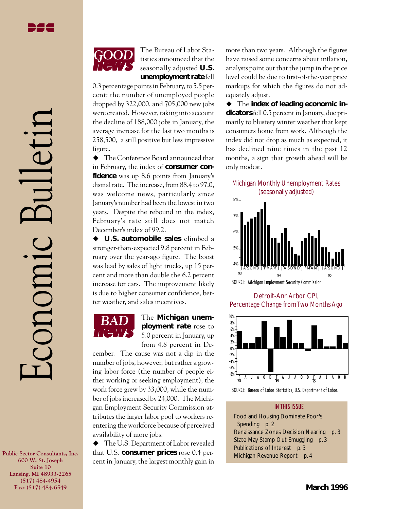Economic Bulletin

CONOMIC

ulleti

The Bureau of Labor Statistics announced that the seasonally adjusted **U.S. unemployment rate** fell

0.3 percentage points in February, to 5.5 percent; the number of unemployed people dropped by 322,000, and 705,000 new jobs were created. However, taking into account the decline of 188,000 jobs in January, the average increase for the last two months is 258,500, a still positive but less impressive figure.

 $\blacklozenge$  The Conference Board announced that in February, the index of **consumer confidence** was up 8.6 points from January's dismal rate. The increase, from 88.4 to 97.0, was welcome news, particularly since January's number had been the lowest in two years. Despite the rebound in the index, February's rate still does not match December's index of 99.2.

◆ **U.S. automobile sales** climbed a stronger-than-expected 9.8 percent in February over the year-ago figure. The boost was lead by sales of light trucks, up 15 percent and more than double the 6.2 percent increase for cars. The improvement likely is due to higher consumer confidence, better weather, and sales incentives.



The **Michigan unemployment rate** rose to 5.0 percent in January, up from 4.8 percent in De-

cember. The cause was not a dip in the number of jobs, however, but rather a growing labor force (the number of people either working or seeking employment); the work force grew by 33,000, while the number of jobs increased by 24,000. The Michigan Employment Security Commission attributes the larger labor pool to workers reentering the workforce because of perceived availability of more jobs.

 $\blacklozenge$  The U.S. Department of Labor revealed that U.S. **consumer prices** rose 0.4 percent in January, the largest monthly gain in

more than two years. Although the figures have raised some concerns about inflation, analysts point out that the jump in the price level could be due to first-of-the-year price markups for which the figures do not adequately adjust.

◆ The **index of leading economic indicators** fell 0.5 percent in January, due primarily to blustery winter weather that kept consumers home from work. Although the index did not drop as much as expected, it has declined nine times in the past 12 months, a sign that growth ahead will be only modest.



SOURCE: Michigan Employment Security Commission. 4% J A S OND J F MAM J J A S OND J F MAM J J A S OND J '94 '95 '93

Detroit-Ann Arbor CPI, Percentage Change from Two Months Ago



SOURCE: Bureau of Labor Statistics, U.S. Department of Labor.

#### IN THIS ISSUE

Food and Housing Dominate Poor's Spending *p. 2* Renaissance Zones Decision Nearing *p. 3* State May Stamp Out Smuggling *p. 3* Publications of Interest *p. 3* Michigan Revenue Report *p. 4*

**Public Sector Consultants, Inc. 600 W. St. Joseph Suite 10 Lansing, MI 48933-2265 (517) 484-4954 Fax: (517) 484-6549**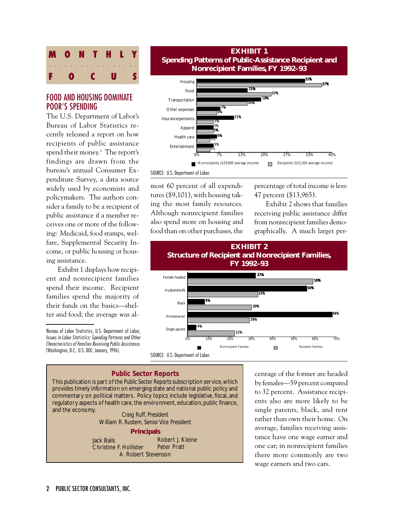

# FOOD AND HOUSING DOMINATE POOR'S SPENDING

The U.S. Department of Labor's Bureau of Labor Statistics recently released a report on how recipients of public assistance spend their money.<sup>1</sup> The report's findings are drawn from the bureau's annual Consumer Expenditure Survey, a data source widely used by economists and policymakers. The authors consider a family to be a recipient of public assistance if a member receives one or more of the following: Medicaid, food stamps, welfare, Supplemental Security Income, or public housing or housing assistance.

Exhibit 1 displays how recipient and nonrecipient families spend their income. Recipient families spend the majority of their funds on the basics—shelter and food; the average was al-

1 Bureau of Labor Statistics, U.S. Department of Labor, Issues in Labor Statistics: Spending Patterns and Other Characteristics of Families Receiving Public Assistance. (Washington, D.C.: U.S. DOL: January, 1996).



SOURCE: U.S. Department of Labor.

most 60 percent of all expenditures (\$9,101), with housing taking the most family resources. Although nonrecipient families also spend more on housing and food than on other purchases, the percentage of total income is less: 47 percent (\$13,965).

Exhibit 2 shows that families receiving public assistance differ from nonrecipient families demographically. A much larger per-



SOURCE: U.S. Department of Labor.

### *Public Sector Reports*

This publication is part of the *Public Sector Reports* subscription service, which provides timely information on emerging state and national public policy and commentary on political matters. Policy topics include legislative, fiscal, and regulatory aspects of health care, the environment, education, public finance, and the economy. *Craig Ruff, President*

*William R. Rustem, Senior Vice President*

**Principals**

Jack Bails Christine F. Hollister A. Robert Stevenson Robert J. Kleine Peter Pratt

centage of the former are headed by females—59 percent compared to 32 percent. Assistance recipients also are more likely to be single parents, black, and rent rather than own their home. On average, families receiving assistance have one wage earner and one car; in nonrecipient families there more commonly are two wage earners and two cars.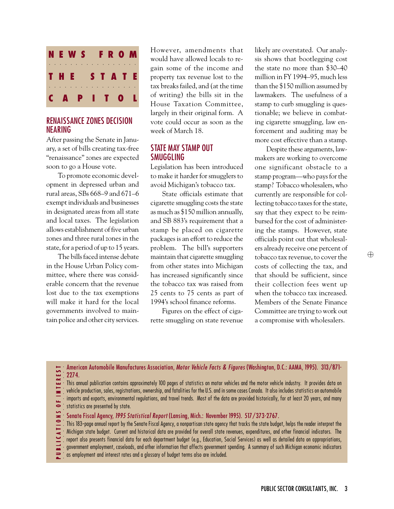

# RENAISSANCE ZONES DECISION NEARING

After passing the Senate in January, a set of bills creating tax-free "renaissance" zones are expected soon to go a House vote.

To promote economic development in depressed urban and rural areas, SBs 668–9 and 671–6 exempt individuals and businesses in designated areas from all state and local taxes. The legislation allows establishment of five urban zones and three rural zones in the state, for a period of up to 15 years.

The bills faced intense debate in the House Urban Policy committee, where there was considerable concern that the revenue lost due to the tax exemptions will make it hard for the local governments involved to maintain police and other city services. However, amendments that would have allowed locals to regain some of the income and property tax revenue lost to the tax breaks failed, and (at the time of writing) the bills sit in the House Taxation Committee, largely in their original form. A vote could occur as soon as the week of March 18.

## STATE MAY STAMP OUT SMUGGLING

Legislation has been introduced to make it harder for smugglers to avoid Michigan's tobacco tax.

State officials estimate that cigarette smuggling costs the state as much as \$150 million annually, and SB 883's requirement that a stamp be placed on cigarette packages is an effort to reduce the problem. The bill's supporters maintain that cigarette smuggling from other states into Michigan has increased significantly since the tobacco tax was raised from 25 cents to 75 cents as part of 1994's school finance reforms.

Figures on the effect of cigarette smuggling on state revenue likely are overstated. Our analysis shows that bootlegging cost the state no more than \$30–40 million in FY 1994–95, much less than the \$150 million assumed by lawmakers. The usefulness of a stamp to curb smuggling is questionable; we believe in combating cigarette smuggling, law enforcement and auditing may be more cost effective than a stamp.

Despite these arguments, lawmakers are working to overcome one significant obstacle to a stamp program—who pays for the stamp? Tobacco wholesalers, who currently are responsible for collecting tobacco taxes for the state, say that they expect to be reimbursed for the cost of administering the stamps. However, state officials point out that wholesalers already receive one percent of tobacco tax revenue, to cover the costs of collecting the tax, and that should be sufficient, since their collection fees went up when the tobacco tax increased. Members of the Senate Finance Committee are trying to work out a compromise with wholesalers.

American Automobile Manufactures Association, Motor Vehicle Facts & Figures (Washington, D.C.: AAMA, 1995). 313/871- 2274.

- This annual publication contains approximately 100 pages of statistics on motor vehicles and the motor vehicle industry. It provides data on
- vehicle production, sales, registrations, ownership, and fatalities for the U.S. and in some cases Canada. It also includes statistics on automobile
- P U B L I C A T I O N S O F I N T E R E S T aaaaaaaa aaaaaaaaaa imports and exports, environmental regulations, and travel trends. Most of the data are provided historically, for at least 20 years, and many  $\ddot{\bullet}$ statistics are presented by state.
- Senate Fiscal Agency, 1995 Statistical Report (Lansing, Mich.: November 1995). 517/373-2767.
- This 183-page annual report by the Senate Fiscal Agency, a nonpartisan state agency that tracks the state budget, helps the reader interpret the
- Michigan state budget. Current and historical data are provided for overall state revenues, expenditures, and other financial indicators. The
- report also presents financial data for each department budget (e.g., Education, Social Services) as well as detailed data on appropriations,
- government employment, caseloads, and other information that affects government spending. A summary of such Michigan economic indicators
- as employment and interest rates and a glossary of budget terms also are included.